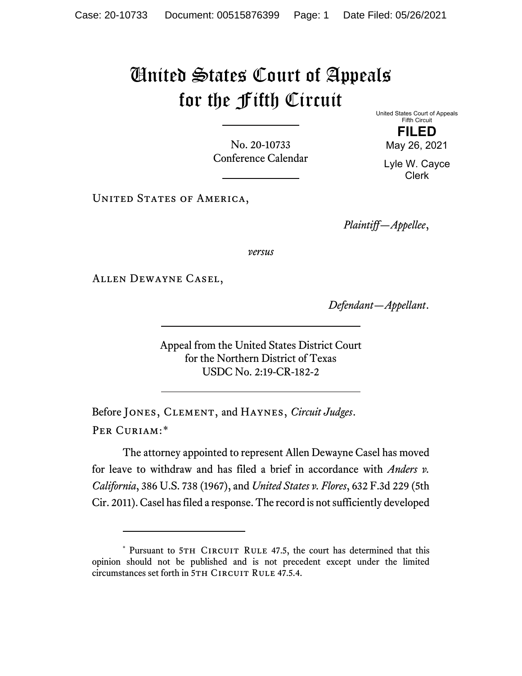## United States Court of Appeals for the Fifth Circuit

No. 20-10733 Conference Calendar United States Court of Appeals Fifth Circuit **FILED** May 26, 2021

Lyle W. Cayce Clerk

UNITED STATES OF AMERICA,

*Plaintiff—Appellee*,

*versus*

Allen Dewayne Casel,

*Defendant—Appellant*.

Appeal from the United States District Court for the Northern District of Texas USDC No. 2:19-CR-182-2

Before Jones, Clement, and Haynes, *Circuit Judges*. Per Curiam:[\\*](#page-0-0)

<span id="page-0-1"></span>The attorney appointed to represent Allen Dewayne Casel has moved for leave to withdraw and has filed a brief in accordance with *Anders v. California*, 386 U.S. 738 (1967), and *United States v. Flores*, 632 F.3d 229 (5th Cir. 2011). Casel has filed a response. The record is not sufficiently developed

<span id="page-0-0"></span><sup>\*</sup> Pursuant to 5TH CIRCUIT RULE 47.5, the court has determined that this opinion should not be published and is not precedent except under the limited circumstances set forth in 5TH CIRCUIT RULE 47.5.4.